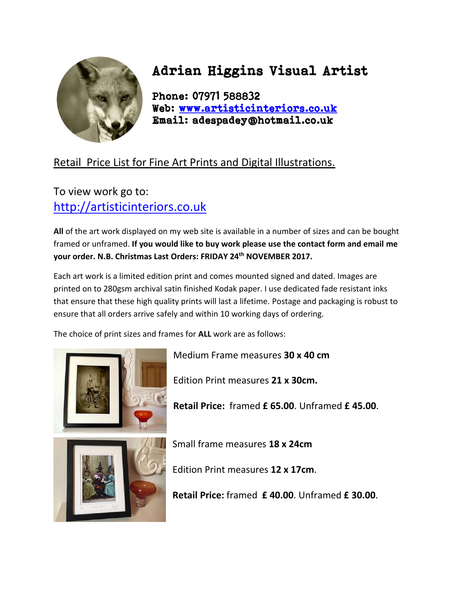

## Adrian Higgins Visual Artist

Phone: 07971 588832 Web: [www.artisticinteriors.co.uk](../../../Selling%20Out%20Business/Price%20List/Price%20List/www.artisticinteriors.co.uk)  Email: adespadey@hotmail.co.uk

## Retail Price List for Fine Art Prints and Digital Illustrations.

## To view work go to: [http://artisticinteriors.co.uk](http://adespadey.wix.com/downsizeme)

**All** of the art work displayed on my web site is available in a number of sizes and can be bought framed or unframed. **If you would like to buy work please use the contact form and email me your order. N.B. Christmas Last Orders: FRIDAY 24th NOVEMBER 2017.**

Each art work is a limited edition print and comes mounted signed and dated. Images are printed on to 280gsm archival satin finished Kodak paper. I use dedicated fade resistant inks that ensure that these high quality prints will last a lifetime. Postage and packaging is robust to ensure that all orders arrive safely and within 10 working days of ordering.

The choice of print sizes and frames for **ALL** work are as follows:



Medium Frame measures **30 x 40 cm**

Edition Print measures **21 x 30cm.**

**Retail Price:** framed **£ 65.00**. Unframed **£ 45.00**.



Small frame measures **18 x 24cm**

Edition Print measures **12 x 17cm**.

**Retail Price:** framed **£ 40.00**. Unframed **£ 30.00**.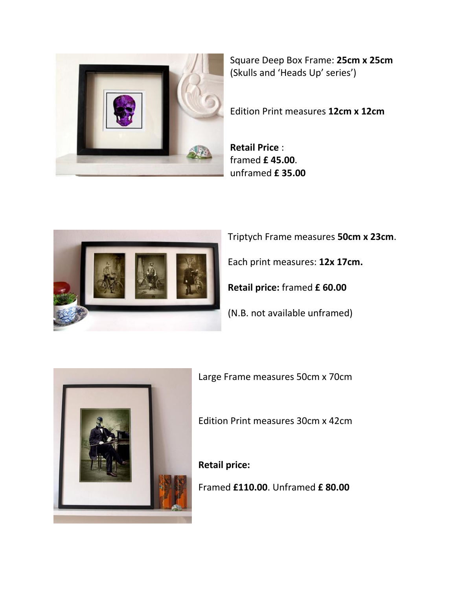

Square Deep Box Frame: **25cm x 25cm** (Skulls and 'Heads Up' series')

Edition Print measures **12cm x 12cm**

**Retail Price** : framed **£ 45.00**. unframed **£ 35.00**



Triptych Frame measures **50cm x 23cm**.

Each print measures: **12x 17cm.**

**Retail price:** framed **£ 60.00**

(N.B. not available unframed)



Large Frame measures 50cm x 70cm

Edition Print measures 30cm x 42cm

**Retail price:**

Framed **£110.00**. Unframed **£ 80.00**